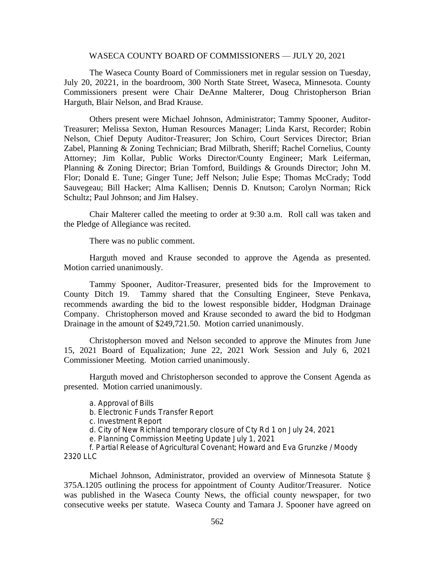## WASECA COUNTY BOARD OF COMMISSIONERS — JULY 20, 2021

The Waseca County Board of Commissioners met in regular session on Tuesday, July 20, 20221, in the boardroom, 300 North State Street, Waseca, Minnesota. County Commissioners present were Chair DeAnne Malterer, Doug Christopherson Brian Harguth, Blair Nelson, and Brad Krause.

Others present were Michael Johnson, Administrator; Tammy Spooner, Auditor-Treasurer; Melissa Sexton, Human Resources Manager; Linda Karst, Recorder; Robin Nelson, Chief Deputy Auditor-Treasurer; Jon Schiro, Court Services Director; Brian Zabel, Planning & Zoning Technician; Brad Milbrath, Sheriff; Rachel Cornelius, County Attorney; Jim Kollar, Public Works Director/County Engineer; Mark Leiferman, Planning & Zoning Director; Brian Tomford, Buildings & Grounds Director; John M. Flor; Donald E. Tune; Ginger Tune; Jeff Nelson; Julie Espe; Thomas McCrady; Todd Sauvegeau; Bill Hacker; Alma Kallisen; Dennis D. Knutson; Carolyn Norman; Rick Schultz; Paul Johnson; and Jim Halsey.

Chair Malterer called the meeting to order at 9:30 a.m. Roll call was taken and the Pledge of Allegiance was recited.

There was no public comment.

Harguth moved and Krause seconded to approve the Agenda as presented. Motion carried unanimously.

Tammy Spooner, Auditor-Treasurer, presented bids for the Improvement to County Ditch 19. Tammy shared that the Consulting Engineer, Steve Penkava, recommends awarding the bid to the lowest responsible bidder, Hodgman Drainage Company. Christopherson moved and Krause seconded to award the bid to Hodgman Drainage in the amount of \$249,721.50. Motion carried unanimously.

Christopherson moved and Nelson seconded to approve the Minutes from June 15, 2021 Board of Equalization; June 22, 2021 Work Session and July 6, 2021 Commissioner Meeting. Motion carried unanimously.

Harguth moved and Christopherson seconded to approve the Consent Agenda as presented. Motion carried unanimously.

- a. Approval of Bills
- b. Electronic Funds Transfer Report
- c. Investment Report

d. City of New Richland temporary closure of Cty Rd 1 on July 24, 2021

e. Planning Commission Meeting Update July 1, 2021

f. Partial Release of Agricultural Covenant; Howard and Eva Grunzke / Moody 2320 LLC

Michael Johnson, Administrator, provided an overview of Minnesota Statute § 375A.1205 outlining the process for appointment of County Auditor/Treasurer. Notice was published in the Waseca County News, the official county newspaper, for two consecutive weeks per statute. Waseca County and Tamara J. Spooner have agreed on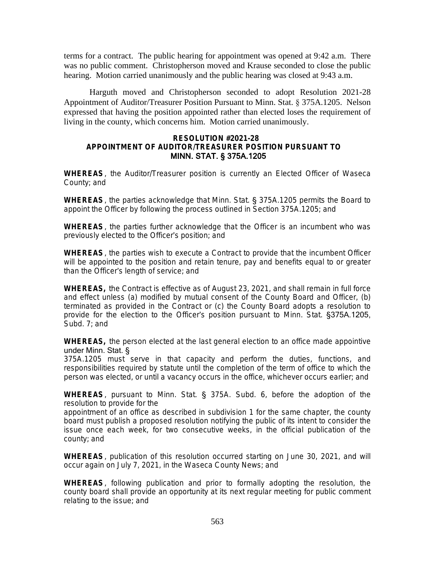terms for a contract. The public hearing for appointment was opened at 9:42 a.m. There was no public comment. Christopherson moved and Krause seconded to close the public hearing. Motion carried unanimously and the public hearing was closed at 9:43 a.m.

Harguth moved and Christopherson seconded to adopt Resolution 2021-28 Appointment of Auditor/Treasurer Position Pursuant to Minn. Stat. § 375A.1205. Nelson expressed that having the position appointed rather than elected loses the requirement of living in the county, which concerns him. Motion carried unanimously.

## **RESOLUTION #2021-28 APPOINTMENT OF AUDITOR/TREASURER POSITION PURSUANT TO** MINN. STAT. § 375A.1205

**WHEREAS**, the Auditor/Treasurer position is currently an Elected Officer of Waseca County; and

**WHEREAS**, the parties acknowledge that Minn. Stat. § 375A.1205 permits the Board to appoint the Officer by following the process outlined in Section 375A.1205; and

**WHEREAS**, the parties further acknowledge that the Officer is an incumbent who was previously elected to the Officer's position; and

**WHEREAS**, the parties wish to execute a Contract to provide that the incumbent Officer will be appointed to the position and retain tenure, pay and benefits equal to or greater than the Officer's length of service; and

**WHEREAS,** the Contract is effective as of August 23, 2021, and shall remain in full force and effect unless (a) modified by mutual consent of the County Board and Officer, (b) terminated as provided in the Contract or (c) the County Board adopts a resolution to provide for the election to the Officer's position pursuant to Minn. Stat. §375A.1205, Subd. 7; and

**WHEREAS,** the person elected at the last general election to an office made appointive under Minn. Stat. §

375A.1205 must serve in that capacity and perform the duties, functions, and responsibilities required by statute until the completion of the term of office to which the person was elected, or until a vacancy occurs in the office, whichever occurs earlier; and

**WHEREAS**, pursuant to Minn. Stat. § 375A. Subd. 6, before the adoption of the resolution to provide for the

appointment of an office as described in subdivision 1 for the same chapter, the county board must publish a proposed resolution notifying the public of its intent to consider the issue once each week, for two consecutive weeks, in the official publication of the county; and

**WHEREAS**, publication of this resolution occurred starting on June 30, 2021, and will occur again on July 7, 2021, in the Waseca County News; and

**WHEREAS**, following publication and prior to formally adopting the resolution, the county board shall provide an opportunity at its next regular meeting for public comment relating to the issue; and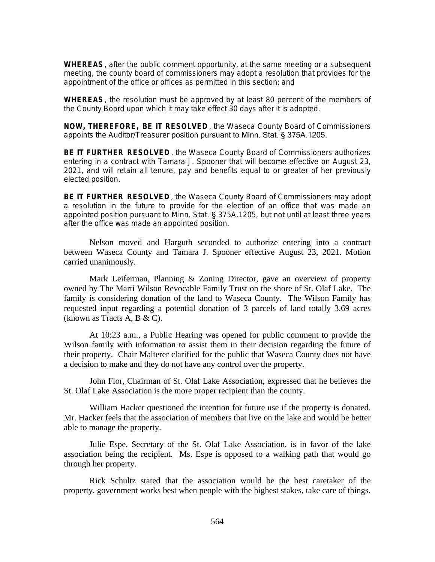**WHEREAS**, after the public comment opportunity, at the same meeting or a subsequent meeting, the county board of commissioners may adopt a resolution that provides for the appointment of the office or offices as permitted in this section; and

**WHEREAS**, the resolution must be approved by at least 80 percent of the members of the County Board upon which it may take effect 30 days after it is adopted.

**NOW, THEREFORE, BE IT RESOLVED** , the Waseca County Board of Commissioners appoints the Auditor/Treasurer position pursuant to Minn. Stat. § 375A.1205.

**BE IT FURTHER RESOLVED** , the Waseca County Board of Commissioners authorizes entering in a contract with Tamara J. Spooner that will become effective on August 23, 2021, and will retain all tenure, pay and benefits equal to or greater of her previously elected position.

**BE IT FURTHER RESOLVED** , the Waseca County Board of Commissioners may adopt a resolution in the future to provide for the election of an office that was made an appointed position pursuant to Minn. Stat. § 375A.1205, but not until at least three years after the office was made an appointed position.

Nelson moved and Harguth seconded to authorize entering into a contract between Waseca County and Tamara J. Spooner effective August 23, 2021. Motion carried unanimously.

Mark Leiferman, Planning & Zoning Director, gave an overview of property owned by The Marti Wilson Revocable Family Trust on the shore of St. Olaf Lake. The family is considering donation of the land to Waseca County. The Wilson Family has requested input regarding a potential donation of 3 parcels of land totally 3.69 acres (known as Tracts A, B & C).

At 10:23 a.m., a Public Hearing was opened for public comment to provide the Wilson family with information to assist them in their decision regarding the future of their property. Chair Malterer clarified for the public that Waseca County does not have a decision to make and they do not have any control over the property.

John Flor, Chairman of St. Olaf Lake Association, expressed that he believes the St. Olaf Lake Association is the more proper recipient than the county.

William Hacker questioned the intention for future use if the property is donated. Mr. Hacker feels that the association of members that live on the lake and would be better able to manage the property.

Julie Espe, Secretary of the St. Olaf Lake Association, is in favor of the lake association being the recipient. Ms. Espe is opposed to a walking path that would go through her property.

Rick Schultz stated that the association would be the best caretaker of the property, government works best when people with the highest stakes, take care of things.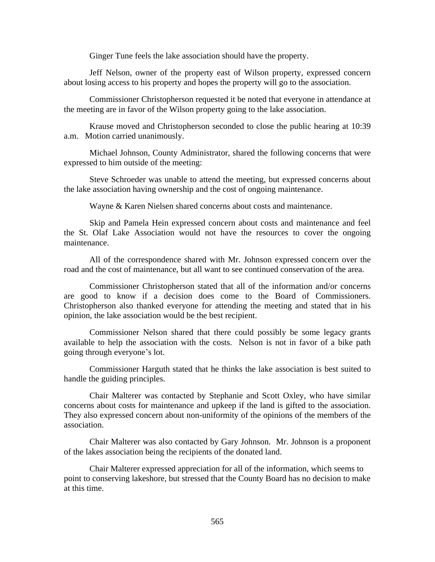Ginger Tune feels the lake association should have the property.

Jeff Nelson, owner of the property east of Wilson property, expressed concern about losing access to his property and hopes the property will go to the association.

Commissioner Christopherson requested it be noted that everyone in attendance at the meeting are in favor of the Wilson property going to the lake association.

Krause moved and Christopherson seconded to close the public hearing at 10:39 a.m. Motion carried unanimously.

Michael Johnson, County Administrator, shared the following concerns that were expressed to him outside of the meeting:

Steve Schroeder was unable to attend the meeting, but expressed concerns about the lake association having ownership and the cost of ongoing maintenance.

Wayne & Karen Nielsen shared concerns about costs and maintenance.

Skip and Pamela Hein expressed concern about costs and maintenance and feel the St. Olaf Lake Association would not have the resources to cover the ongoing maintenance.

All of the correspondence shared with Mr. Johnson expressed concern over the road and the cost of maintenance, but all want to see continued conservation of the area.

Commissioner Christopherson stated that all of the information and/or concerns are good to know if a decision does come to the Board of Commissioners. Christopherson also thanked everyone for attending the meeting and stated that in his opinion, the lake association would be the best recipient.

Commissioner Nelson shared that there could possibly be some legacy grants available to help the association with the costs. Nelson is not in favor of a bike path going through everyone's lot.

Commissioner Harguth stated that he thinks the lake association is best suited to handle the guiding principles.

Chair Malterer was contacted by Stephanie and Scott Oxley, who have similar concerns about costs for maintenance and upkeep if the land is gifted to the association. They also expressed concern about non-uniformity of the opinions of the members of the association.

Chair Malterer was also contacted by Gary Johnson. Mr. Johnson is a proponent of the lakes association being the recipients of the donated land.

Chair Malterer expressed appreciation for all of the information, which seems to point to conserving lakeshore, but stressed that the County Board has no decision to make at this time.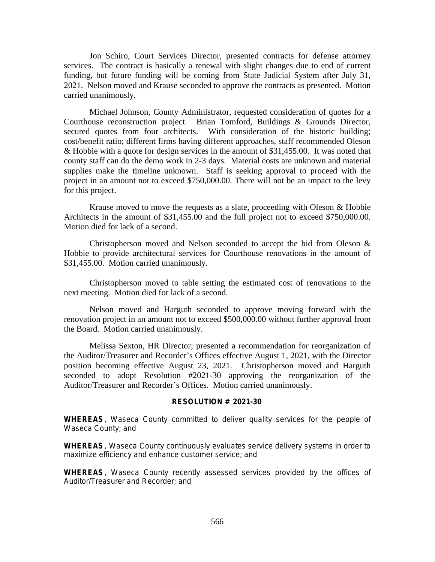Jon Schiro, Court Services Director, presented contracts for defense attorney services. The contract is basically a renewal with slight changes due to end of current funding, but future funding will be coming from State Judicial System after July 31, 2021. Nelson moved and Krause seconded to approve the contracts as presented. Motion carried unanimously.

Michael Johnson, County Administrator, requested consideration of quotes for a Courthouse reconstruction project. Brian Tomford, Buildings & Grounds Director, secured quotes from four architects. With consideration of the historic building; cost/benefit ratio; different firms having different approaches, staff recommended Oleson & Hobbie with a quote for design services in the amount of \$31,455.00. It was noted that county staff can do the demo work in 2-3 days. Material costs are unknown and material supplies make the timeline unknown. Staff is seeking approval to proceed with the project in an amount not to exceed \$750,000.00. There will not be an impact to the levy for this project.

Krause moved to move the requests as a slate, proceeding with Oleson & Hobbie Architects in the amount of \$31,455.00 and the full project not to exceed \$750,000.00. Motion died for lack of a second.

Christopherson moved and Nelson seconded to accept the bid from Oleson & Hobbie to provide architectural services for Courthouse renovations in the amount of \$31,455.00. Motion carried unanimously.

Christopherson moved to table setting the estimated cost of renovations to the next meeting. Motion died for lack of a second.

Nelson moved and Harguth seconded to approve moving forward with the renovation project in an amount not to exceed \$500,000.00 without further approval from the Board. Motion carried unanimously.

Melissa Sexton, HR Director; presented a recommendation for reorganization of the Auditor/Treasurer and Recorder's Offices effective August 1, 2021, with the Director position becoming effective August 23, 2021. Christopherson moved and Harguth seconded to adopt Resolution #2021-30 approving the reorganization of the Auditor/Treasurer and Recorder's Offices. Motion carried unanimously.

## **RESOLUTION # 2021-30**

**WHEREAS**, Waseca County committed to deliver quality services for the people of Waseca County; and

**WHEREAS**, Waseca County continuously evaluates service delivery systems in order to maximize efficiency and enhance customer service; and

**WHEREAS**, Waseca County recently assessed services provided by the offices of Auditor/Treasurer and Recorder; and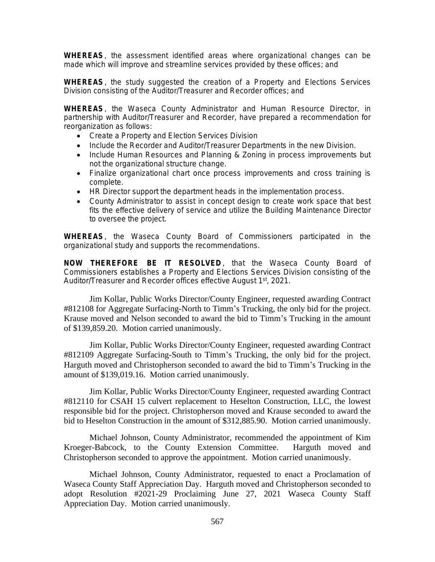**WHEREAS**, the assessment identified areas where organizational changes can be made which will improve and streamline services provided by these offices; and

**WHEREAS**, the study suggested the creation of a Property and Elections Services Division consisting of the Auditor/Treasurer and Recorder offices; and

**WHEREAS**, the Waseca County Administrator and Human Resource Director, in partnership with Auditor/Treasurer and Recorder, have prepared a recommendation for reorganization as follows:

- Create a Property and Election Services Division
- Include the Recorder and Auditor/Treasurer Departments in the new Division.
- Include Human Resources and Planning & Zoning in process improvements but not the organizational structure change.
- Finalize organizational chart once process improvements and cross training is complete.
- HR Director support the department heads in the implementation process.
- County Administrator to assist in concept design to create work space that best fits the effective delivery of service and utilize the Building Maintenance Director to oversee the project.

**WHEREAS**, the Waseca County Board of Commissioners participated in the organizational study and supports the recommendations.

**NOW THEREFORE BE IT RESOLVED** , that the Waseca County Board of Commissioners establishes a Property and Elections Services Division consisting of the Auditor/Treasurer and Recorder offices effective August 1st, 2021.

Jim Kollar, Public Works Director/County Engineer, requested awarding Contract #812108 for Aggregate Surfacing-North to Timm's Trucking, the only bid for the project. Krause moved and Nelson seconded to award the bid to Timm's Trucking in the amount of \$139,859.20. Motion carried unanimously.

Jim Kollar, Public Works Director/County Engineer, requested awarding Contract #812109 Aggregate Surfacing-South to Timm's Trucking, the only bid for the project. Harguth moved and Christopherson seconded to award the bid to Timm's Trucking in the amount of \$139,019.16. Motion carried unanimously.

Jim Kollar, Public Works Director/County Engineer, requested awarding Contract #812110 for CSAH 15 culvert replacement to Heselton Construction, LLC, the lowest responsible bid for the project. Christopherson moved and Krause seconded to award the bid to Heselton Construction in the amount of \$312,885.90. Motion carried unanimously.

Michael Johnson, County Administrator, recommended the appointment of Kim Kroeger-Babcock, to the County Extension Committee. Harguth moved and Christopherson seconded to approve the appointment. Motion carried unanimously.

Michael Johnson, County Administrator, requested to enact a Proclamation of Waseca County Staff Appreciation Day. Harguth moved and Christopherson seconded to adopt Resolution #2021-29 Proclaiming June 27, 2021 Waseca County Staff Appreciation Day. Motion carried unanimously.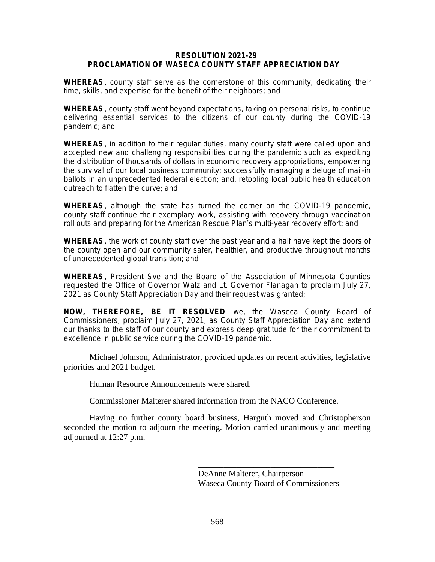## **RESOLUTION 2021-29 PROCLAMATION OF WASECA COUNTY STAFF APPRECIATION DAY**

**WHEREAS**, county staff serve as the cornerstone of this community, dedicating their time, skills, and expertise for the benefit of their neighbors; and

**WHEREAS**, county staff went beyond expectations, taking on personal risks, to continue delivering essential services to the citizens of our county during the COVID-19 pandemic; and

**WHEREAS**, in addition to their regular duties, many county staff were called upon and accepted new and challenging responsibilities during the pandemic such as expediting the distribution of thousands of dollars in economic recovery appropriations, empowering the survival of our local business community; successfully managing a deluge of mail-in ballots in an unprecedented federal election; and, retooling local public health education outreach to flatten the curve; and

**WHEREAS**, although the state has turned the corner on the COVID-19 pandemic, county staff continue their exemplary work, assisting with recovery through vaccination roll outs and preparing for the American Rescue Plan's multi-year recovery effort; and

**WHEREAS**, the work of county staff over the past year and a half have kept the doors of the county open and our community safer, healthier, and productive throughout months of unprecedented global transition; and

**WHEREAS**, President Sve and the Board of the Association of Minnesota Counties requested the Office of Governor Walz and Lt. Governor Flanagan to proclaim July 27, 2021 as County Staff Appreciation Day and their request was granted;

**NOW, THEREFORE, BE IT RESOLVED** we, the Waseca County Board of Commissioners, proclaim July 27, 2021, as County Staff Appreciation Day and extend our thanks to the staff of our county and express deep gratitude for their commitment to excellence in public service during the COVID-19 pandemic.

Michael Johnson, Administrator, provided updates on recent activities, legislative priorities and 2021 budget.

Human Resource Announcements were shared.

Commissioner Malterer shared information from the NACO Conference.

Having no further county board business, Harguth moved and Christopherson seconded the motion to adjourn the meeting. Motion carried unanimously and meeting adjourned at 12:27 p.m.

> DeAnne Malterer, Chairperson Waseca County Board of Commissioners

\_\_\_\_\_\_\_\_\_\_\_\_\_\_\_\_\_\_\_\_\_\_\_\_\_\_\_\_\_\_\_\_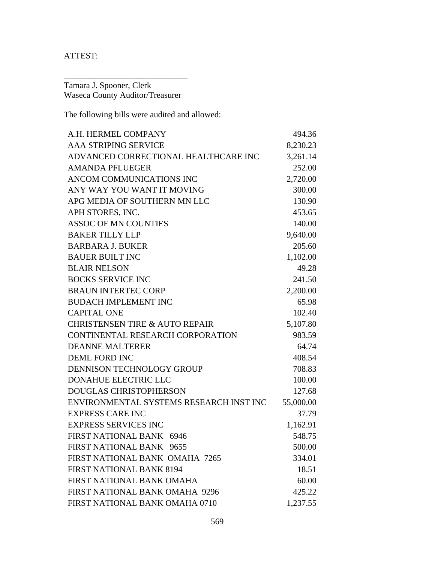ATTEST:

Tamara J. Spooner, Clerk Waseca County Auditor/Treasurer

\_\_\_\_\_\_\_\_\_\_\_\_\_\_\_\_\_\_\_\_\_\_\_\_\_\_\_\_\_

The following bills were audited and allowed:

| A.H. HERMEL COMPANY                       | 494.36    |
|-------------------------------------------|-----------|
| <b>AAA STRIPING SERVICE</b>               | 8,230.23  |
| ADVANCED CORRECTIONAL HEALTHCARE INC      | 3,261.14  |
| <b>AMANDA PFLUEGER</b>                    | 252.00    |
| ANCOM COMMUNICATIONS INC                  | 2,720.00  |
| ANY WAY YOU WANT IT MOVING                | 300.00    |
| APG MEDIA OF SOUTHERN MN LLC              | 130.90    |
| APH STORES, INC.                          | 453.65    |
| <b>ASSOC OF MN COUNTIES</b>               | 140.00    |
| <b>BAKER TILLY LLP</b>                    | 9,640.00  |
| <b>BARBARA J. BUKER</b>                   | 205.60    |
| <b>BAUER BUILT INC</b>                    | 1,102.00  |
| <b>BLAIR NELSON</b>                       | 49.28     |
| <b>BOCKS SERVICE INC</b>                  | 241.50    |
| <b>BRAUN INTERTEC CORP</b>                | 2,200.00  |
| <b>BUDACH IMPLEMENT INC</b>               | 65.98     |
| <b>CAPITAL ONE</b>                        | 102.40    |
| <b>CHRISTENSEN TIRE &amp; AUTO REPAIR</b> | 5,107.80  |
| CONTINENTAL RESEARCH CORPORATION          | 983.59    |
| <b>DEANNE MALTERER</b>                    | 64.74     |
| <b>DEML FORD INC</b>                      | 408.54    |
| DENNISON TECHNOLOGY GROUP                 | 708.83    |
| <b>DONAHUE ELECTRIC LLC</b>               | 100.00    |
| <b>DOUGLAS CHRISTOPHERSON</b>             | 127.68    |
| ENVIRONMENTAL SYSTEMS RESEARCH INST INC   | 55,000.00 |
| <b>EXPRESS CARE INC</b>                   | 37.79     |
| <b>EXPRESS SERVICES INC</b>               | 1,162.91  |
| FIRST NATIONAL BANK 6946                  | 548.75    |
| FIRST NATIONAL BANK 9655                  | 500.00    |
| FIRST NATIONAL BANK OMAHA 7265            | 334.01    |
| <b>FIRST NATIONAL BANK 8194</b>           | 18.51     |
| FIRST NATIONAL BANK OMAHA                 | 60.00     |
| FIRST NATIONAL BANK OMAHA 9296            | 425.22    |
| FIRST NATIONAL BANK OMAHA 0710            | 1,237.55  |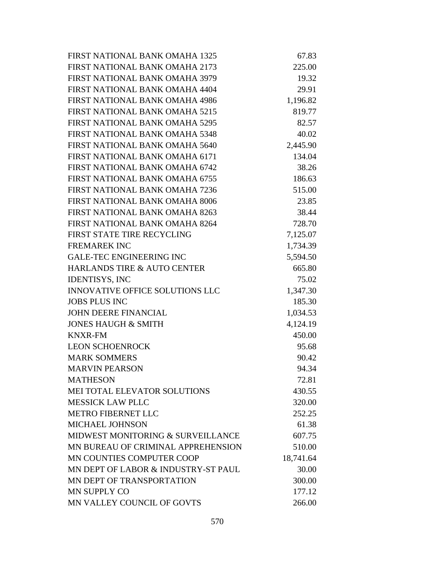| FIRST NATIONAL BANK OMAHA 1325         | 67.83     |
|----------------------------------------|-----------|
| FIRST NATIONAL BANK OMAHA 2173         | 225.00    |
| FIRST NATIONAL BANK OMAHA 3979         | 19.32     |
| FIRST NATIONAL BANK OMAHA 4404         | 29.91     |
| FIRST NATIONAL BANK OMAHA 4986         | 1,196.82  |
| FIRST NATIONAL BANK OMAHA 5215         | 819.77    |
| <b>FIRST NATIONAL BANK OMAHA 5295</b>  | 82.57     |
| FIRST NATIONAL BANK OMAHA 5348         | 40.02     |
| FIRST NATIONAL BANK OMAHA 5640         | 2,445.90  |
| FIRST NATIONAL BANK OMAHA 6171         | 134.04    |
| FIRST NATIONAL BANK OMAHA 6742         | 38.26     |
| FIRST NATIONAL BANK OMAHA 6755         | 186.63    |
| FIRST NATIONAL BANK OMAHA 7236         | 515.00    |
| FIRST NATIONAL BANK OMAHA 8006         | 23.85     |
| FIRST NATIONAL BANK OMAHA 8263         | 38.44     |
| FIRST NATIONAL BANK OMAHA 8264         | 728.70    |
| FIRST STATE TIRE RECYCLING             | 7,125.07  |
| <b>FREMAREK INC</b>                    | 1,734.39  |
| <b>GALE-TEC ENGINEERING INC</b>        | 5,594.50  |
| <b>HARLANDS TIRE &amp; AUTO CENTER</b> | 665.80    |
| <b>IDENTISYS, INC</b>                  | 75.02     |
| <b>INNOVATIVE OFFICE SOLUTIONS LLC</b> | 1,347.30  |
| <b>JOBS PLUS INC</b>                   | 185.30    |
| <b>JOHN DEERE FINANCIAL</b>            | 1,034.53  |
| <b>JONES HAUGH &amp; SMITH</b>         | 4,124.19  |
| <b>KNXR-FM</b>                         | 450.00    |
| <b>LEON SCHOENROCK</b>                 | 95.68     |
| <b>MARK SOMMERS</b>                    | 90.42     |
| <b>MARVIN PEARSON</b>                  | 94.34     |
| <b>MATHESON</b>                        | 72.81     |
| MEI TOTAL ELEVATOR SOLUTIONS           | 430.55    |
| <b>MESSICK LAW PLLC</b>                | 320.00    |
| METRO FIBERNET LLC                     | 252.25    |
| MICHAEL JOHNSON                        | 61.38     |
| MIDWEST MONITORING & SURVEILLANCE      | 607.75    |
| MN BUREAU OF CRIMINAL APPREHENSION     | 510.00    |
| MN COUNTIES COMPUTER COOP              | 18,741.64 |
| MN DEPT OF LABOR & INDUSTRY-ST PAUL    | 30.00     |
| MN DEPT OF TRANSPORTATION              | 300.00    |
| <b>MN SUPPLY CO</b>                    | 177.12    |
| MN VALLEY COUNCIL OF GOVTS             | 266.00    |